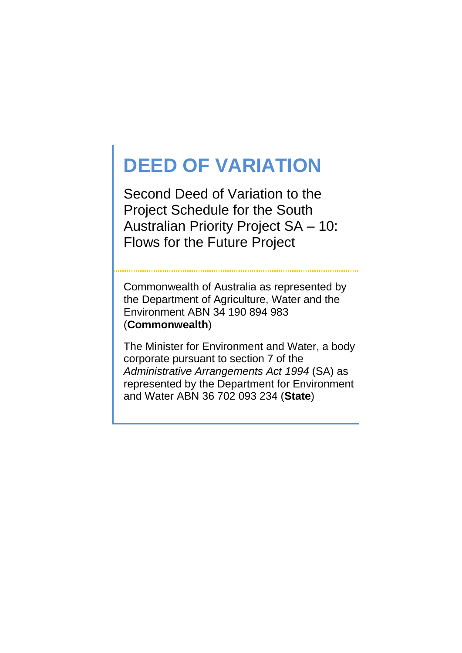# **DEED OF VARIATION**

Second Deed of Variation to the Project Schedule for the South Australian Priority Project SA – 10: Flows for the Future Project

Commonwealth of Australia as represented by the Department of Agriculture, Water and the Environment ABN 34 190 894 983 (**Commonwealth**)

The Minister for Environment and Water, a body corporate pursuant to section 7 of the *Administrative Arrangements Act 1994* (SA) as represented by the Department for Environment and Water ABN 36 702 093 234 (**State**)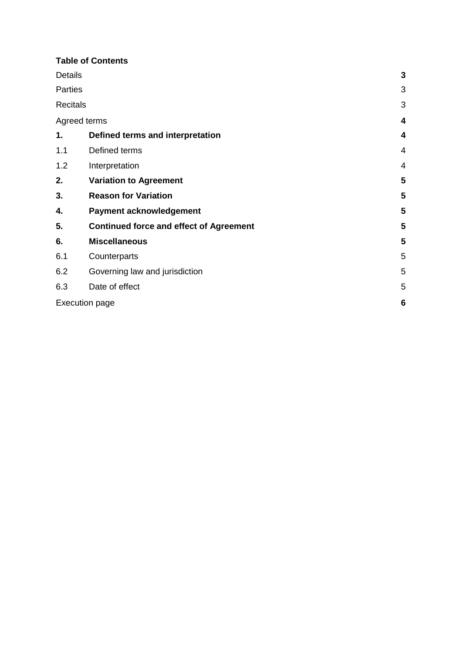#### **Table of Contents**

| <b>Details</b>        |                                                | $\mathbf{3}$   |
|-----------------------|------------------------------------------------|----------------|
| Parties               |                                                | 3              |
| <b>Recitals</b>       |                                                | 3              |
| Agreed terms          |                                                | 4              |
| 1.                    | Defined terms and interpretation               | 4              |
| 1.1                   | Defined terms                                  | 4              |
| 1.2                   | Interpretation                                 | $\overline{4}$ |
| 2.                    | <b>Variation to Agreement</b>                  | 5              |
| 3.                    | <b>Reason for Variation</b>                    | 5              |
| 4.                    | Payment acknowledgement                        | 5              |
| 5.                    | <b>Continued force and effect of Agreement</b> | 5              |
| 6.                    | <b>Miscellaneous</b>                           | 5              |
| 6.1                   | Counterparts                                   | 5              |
| 6.2                   | Governing law and jurisdiction                 | 5              |
| 6.3                   | Date of effect                                 | 5              |
| <b>Execution page</b> |                                                |                |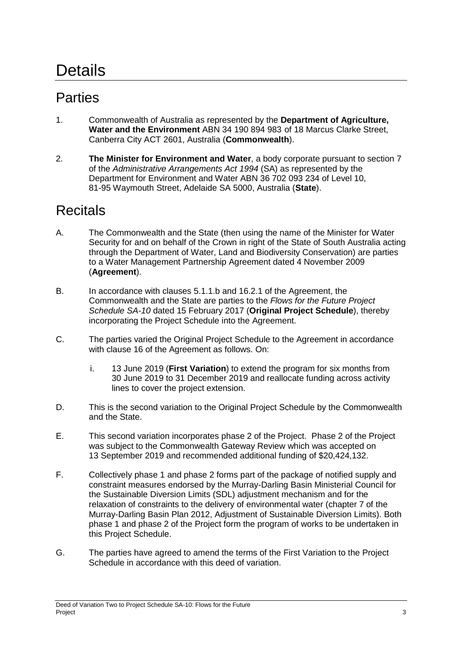# **Details**

## **Parties**

- 1. Commonwealth of Australia as represented by the **Department of Agriculture, Water and the Environment** ABN 34 190 894 983 of 18 Marcus Clarke Street, Canberra City ACT 2601, Australia (**Commonwealth**).
- 2. **The Minister for Environment and Water**, a body corporate pursuant to section 7 of the *Administrative Arrangements Act 1994* (SA) as represented by the Department for Environment and Water ABN 36 702 093 234 of Level 10, 81-95 Waymouth Street, Adelaide SA 5000, Australia (**State**).

## **Recitals**

- A. The Commonwealth and the State (then using the name of the Minister for Water Security for and on behalf of the Crown in right of the State of South Australia acting through the Department of Water, Land and Biodiversity Conservation) are parties to a Water Management Partnership Agreement dated 4 November 2009 (**Agreement**).
- B. In accordance with clauses 5.1.1.b and 16.2.1 of the Agreement, the Commonwealth and the State are parties to the *Flows for the Future Project Schedule SA-10* dated 15 February 2017 (**Original Project Schedule**), thereby incorporating the Project Schedule into the Agreement.
- C. The parties varied the Original Project Schedule to the Agreement in accordance with clause 16 of the Agreement as follows. On:
	- i. 13 June 2019 (**First Variation**) to extend the program for six months from 30 June 2019 to 31 December 2019 and reallocate funding across activity lines to cover the project extension.
- D. This is the second variation to the Original Project Schedule by the Commonwealth and the State.
- E. This second variation incorporates phase 2 of the Project. Phase 2 of the Project was subject to the Commonwealth Gateway Review which was accepted on 13 September 2019 and recommended additional funding of \$20,424,132.
- F. Collectively phase 1 and phase 2 forms part of the package of notified supply and constraint measures endorsed by the Murray-Darling Basin Ministerial Council for the Sustainable Diversion Limits (SDL) adjustment mechanism and for the relaxation of constraints to the delivery of environmental water (chapter 7 of the Murray-Darling Basin Plan 2012, Adjustment of Sustainable Diversion Limits). Both phase 1 and phase 2 of the Project form the program of works to be undertaken in this Project Schedule.
- G. The parties have agreed to amend the terms of the First Variation to the Project Schedule in accordance with this deed of variation.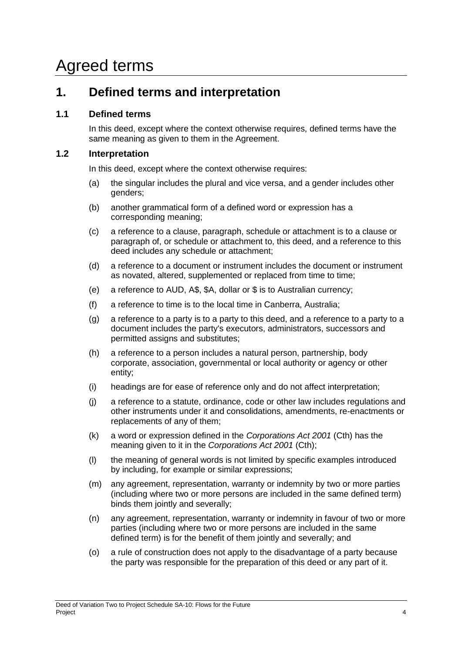## Agreed terms

### **1. Defined terms and interpretation**

#### **1.1 Defined terms**

In this deed, except where the context otherwise requires, defined terms have the same meaning as given to them in the Agreement.

#### **1.2 Interpretation**

In this deed, except where the context otherwise requires:

- (a) the singular includes the plural and vice versa, and a gender includes other genders;
- (b) another grammatical form of a defined word or expression has a corresponding meaning;
- (c) a reference to a clause, paragraph, schedule or attachment is to a clause or paragraph of, or schedule or attachment to, this deed, and a reference to this deed includes any schedule or attachment;
- (d) a reference to a document or instrument includes the document or instrument as novated, altered, supplemented or replaced from time to time;
- (e) a reference to AUD, A\$, \$A, dollar or \$ is to Australian currency;
- (f) a reference to time is to the local time in Canberra, Australia;
- (g) a reference to a party is to a party to this deed, and a reference to a party to a document includes the party's executors, administrators, successors and permitted assigns and substitutes;
- (h) a reference to a person includes a natural person, partnership, body corporate, association, governmental or local authority or agency or other entity;
- (i) headings are for ease of reference only and do not affect interpretation;
- (j) a reference to a statute, ordinance, code or other law includes regulations and other instruments under it and consolidations, amendments, re-enactments or replacements of any of them;
- (k) a word or expression defined in the *Corporations Act 2001* (Cth) has the meaning given to it in the *Corporations Act 2001* (Cth);
- (l) the meaning of general words is not limited by specific examples introduced by including, for example or similar expressions;
- (m) any agreement, representation, warranty or indemnity by two or more parties (including where two or more persons are included in the same defined term) binds them jointly and severally;
- (n) any agreement, representation, warranty or indemnity in favour of two or more parties (including where two or more persons are included in the same defined term) is for the benefit of them jointly and severally; and
- (o) a rule of construction does not apply to the disadvantage of a party because the party was responsible for the preparation of this deed or any part of it.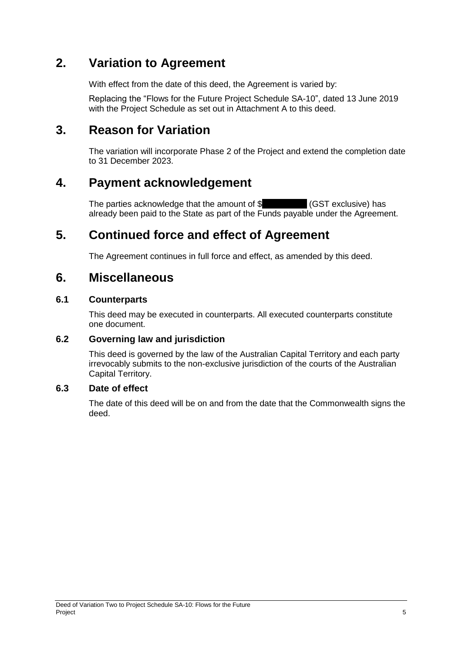### **2. Variation to Agreement**

With effect from the date of this deed, the Agreement is varied by:

Replacing the "Flows for the Future Project Schedule SA-10", dated 13 June 2019 with the Project Schedule as set out in Attachment A to this deed.

## **3. Reason for Variation**

The variation will incorporate Phase 2 of the Project and extend the completion date to 31 December 2023.

## **4. Payment acknowledgement**

The parties acknowledge that the amount of  $\frac{1}{\sqrt{2}}$  (GST exclusive) has already been paid to the State as part of the Funds payable under the Agreement.

## **5. Continued force and effect of Agreement**

The Agreement continues in full force and effect, as amended by this deed.

### **6. Miscellaneous**

#### **6.1 Counterparts**

This deed may be executed in counterparts. All executed counterparts constitute one document.

#### **6.2 Governing law and jurisdiction**

This deed is governed by the law of the Australian Capital Territory and each party irrevocably submits to the non-exclusive jurisdiction of the courts of the Australian Capital Territory.

#### **6.3 Date of effect**

The date of this deed will be on and from the date that the Commonwealth signs the deed.